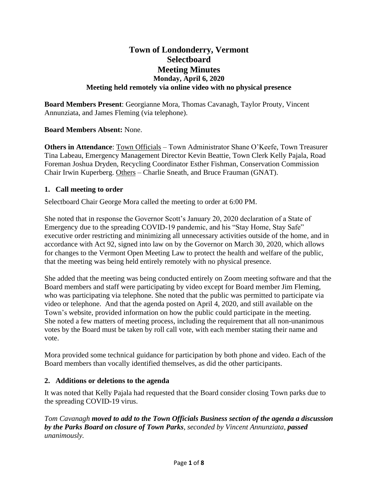# **Town of Londonderry, Vermont Selectboard Meeting Minutes Monday, April 6, 2020 Meeting held remotely via online video with no physical presence**

**Board Members Present**: Georgianne Mora, Thomas Cavanagh, Taylor Prouty, Vincent Annunziata, and James Fleming (via telephone).

## **Board Members Absent:** None.

**Others in Attendance**: Town Officials – Town Administrator Shane O'Keefe, Town Treasurer Tina Labeau, Emergency Management Director Kevin Beattie, Town Clerk Kelly Pajala, Road Foreman Joshua Dryden, Recycling Coordinator Esther Fishman, Conservation Commission Chair Irwin Kuperberg. Others – Charlie Sneath, and Bruce Frauman (GNAT).

## **1. Call meeting to order**

Selectboard Chair George Mora called the meeting to order at 6:00 PM.

She noted that in response the Governor Scott's January 20, 2020 declaration of a State of Emergency due to the spreading COVID-19 pandemic, and his "Stay Home, Stay Safe" executive order restricting and minimizing all unnecessary activities outside of the home, and in accordance with Act 92, signed into law on by the Governor on March 30, 2020, which allows for changes to the Vermont Open Meeting Law to protect the health and welfare of the public, that the meeting was being held entirely remotely with no physical presence.

She added that the meeting was being conducted entirely on Zoom meeting software and that the Board members and staff were participating by video except for Board member Jim Fleming, who was participating via telephone. She noted that the public was permitted to participate via video or telephone. And that the agenda posted on April 4, 2020, and still available on the Town's website, provided information on how the public could participate in the meeting. She noted a few matters of meeting process, including the requirement that all non-unanimous votes by the Board must be taken by roll call vote, with each member stating their name and vote.

Mora provided some technical guidance for participation by both phone and video. Each of the Board members than vocally identified themselves, as did the other participants.

## **2. Additions or deletions to the agenda**

It was noted that Kelly Pajala had requested that the Board consider closing Town parks due to the spreading COVID-19 virus.

*Tom Cavanagh moved to add to the Town Officials Business section of the agenda a discussion by the Parks Board on closure of Town Parks, seconded by Vincent Annunziata, passed unanimously.*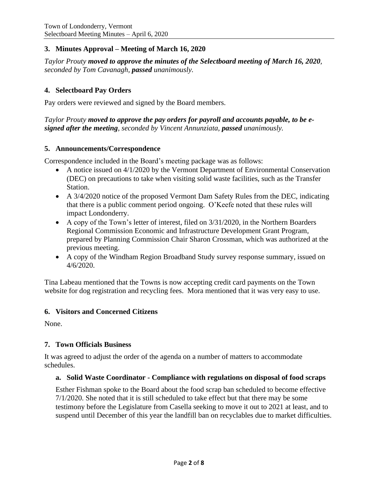## **3. Minutes Approval – Meeting of March 16, 2020**

*Taylor Prouty moved to approve the minutes of the Selectboard meeting of March 16, 2020, seconded by Tom Cavanagh, passed unanimously.*

## **4. Selectboard Pay Orders**

Pay orders were reviewed and signed by the Board members.

#### *Taylor Prouty moved to approve the pay orders for payroll and accounts payable, to be esigned after the meeting, seconded by Vincent Annunziata, passed unanimously.*

#### **5. Announcements/Correspondence**

Correspondence included in the Board's meeting package was as follows:

- A notice issued on 4/1/2020 by the Vermont Department of Environmental Conservation (DEC) on precautions to take when visiting solid waste facilities, such as the Transfer Station.
- A 3/4/2020 notice of the proposed Vermont Dam Safety Rules from the DEC, indicating that there is a public comment period ongoing. O'Keefe noted that these rules will impact Londonderry.
- A copy of the Town's letter of interest, filed on 3/31/2020, in the Northern Boarders Regional Commission Economic and Infrastructure Development Grant Program, prepared by Planning Commission Chair Sharon Crossman, which was authorized at the previous meeting.
- A copy of the Windham Region Broadband Study survey response summary, issued on 4/6/2020.

Tina Labeau mentioned that the Towns is now accepting credit card payments on the Town website for dog registration and recycling fees. Mora mentioned that it was very easy to use.

#### **6. Visitors and Concerned Citizens**

None.

#### **7. Town Officials Business**

It was agreed to adjust the order of the agenda on a number of matters to accommodate schedules.

#### **a. Solid Waste Coordinator - Compliance with regulations on disposal of food scraps**

Esther Fishman spoke to the Board about the food scrap ban scheduled to become effective 7/1/2020. She noted that it is still scheduled to take effect but that there may be some testimony before the Legislature from Casella seeking to move it out to 2021 at least, and to suspend until December of this year the landfill ban on recyclables due to market difficulties.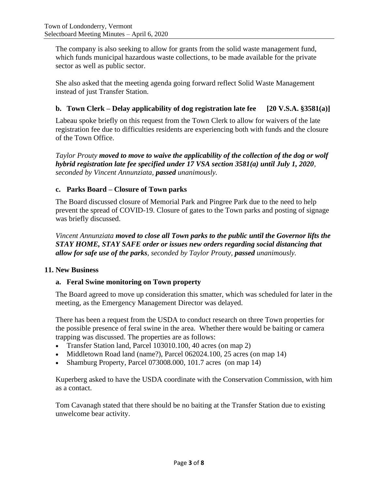The company is also seeking to allow for grants from the solid waste management fund, which funds municipal hazardous waste collections, to be made available for the private sector as well as public sector.

She also asked that the meeting agenda going forward reflect Solid Waste Management instead of just Transfer Station.

# **b. Town Clerk – Delay applicability of dog registration late fee [20 V.S.A. §3581(a)]**

Labeau spoke briefly on this request from the Town Clerk to allow for waivers of the late registration fee due to difficulties residents are experiencing both with funds and the closure of the Town Office.

*Taylor Prouty moved to move to waive the applicability of the collection of the dog or wolf hybrid registration late fee specified under 17 VSA section 3581(a) until July 1, 2020, seconded by Vincent Annunziata, passed unanimously.*

## **c. Parks Board – Closure of Town parks**

The Board discussed closure of Memorial Park and Pingree Park due to the need to help prevent the spread of COVID-19. Closure of gates to the Town parks and posting of signage was briefly discussed.

*Vincent Annunziata moved to close all Town parks to the public until the Governor lifts the STAY HOME, STAY SAFE order or issues new orders regarding social distancing that allow for safe use of the parks, seconded by Taylor Prouty, passed unanimously.*

## **11. New Business**

## **a. Feral Swine monitoring on Town property**

The Board agreed to move up consideration this smatter, which was scheduled for later in the meeting, as the Emergency Management Director was delayed.

There has been a request from the USDA to conduct research on three Town properties for the possible presence of feral swine in the area. Whether there would be baiting or camera trapping was discussed. The properties are as follows:

- Transfer Station land, Parcel 103010.100, 40 acres (on map 2)
- Middletown Road land (name?), Parcel 062024.100, 25 acres (on map 14)
- Shamburg Property, Parcel 073008.000, 101.7 acres (on map 14)

Kuperberg asked to have the USDA coordinate with the Conservation Commission, with him as a contact.

Tom Cavanagh stated that there should be no baiting at the Transfer Station due to existing unwelcome bear activity.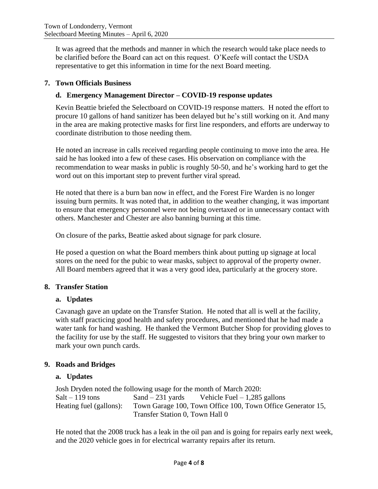It was agreed that the methods and manner in which the research would take place needs to be clarified before the Board can act on this request. O'Keefe will contact the USDA representative to get this information in time for the next Board meeting.

# **7. Town Officials Business**

# **d. Emergency Management Director – COVID-19 response updates**

Kevin Beattie briefed the Selectboard on COVID-19 response matters. H noted the effort to procure 10 gallons of hand sanitizer has been delayed but he's still working on it. And many in the area are making protective masks for first line responders, and efforts are underway to coordinate distribution to those needing them.

He noted an increase in calls received regarding people continuing to move into the area. He said he has looked into a few of these cases. His observation on compliance with the recommendation to wear masks in public is roughly 50-50, and he's working hard to get the word out on this important step to prevent further viral spread.

He noted that there is a burn ban now in effect, and the Forest Fire Warden is no longer issuing burn permits. It was noted that, in addition to the weather changing, it was important to ensure that emergency personnel were not being overtaxed or in unnecessary contact with others. Manchester and Chester are also banning burning at this time.

On closure of the parks, Beattie asked about signage for park closure.

He posed a question on what the Board members think about putting up signage at local stores on the need for the pubic to wear masks, subject to approval of the property owner. All Board members agreed that it was a very good idea, particularly at the grocery store.

## **8. Transfer Station**

## **a. Updates**

Cavanagh gave an update on the Transfer Station. He noted that all is well at the facility, with staff practicing good health and safety procedures, and mentioned that he had made a water tank for hand washing. He thanked the Vermont Butcher Shop for providing gloves to the facility for use by the staff. He suggested to visitors that they bring your own marker to mark your own punch cards.

## **9. Roads and Bridges**

## **a. Updates**

Josh Dryden noted the following usage for the month of March 2020:  $Salt - 119$  tons  $Sand - 231$  yards Vehicle Fuel  $-1,285$  gallons Heating fuel (gallons): Town Garage 100, Town Office 100, Town Office Generator 15, Transfer Station 0, Town Hall 0

He noted that the 2008 truck has a leak in the oil pan and is going for repairs early next week, and the 2020 vehicle goes in for electrical warranty repairs after its return.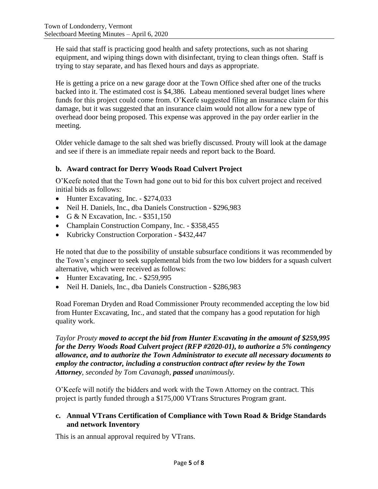He said that staff is practicing good health and safety protections, such as not sharing equipment, and wiping things down with disinfectant, trying to clean things often. Staff is trying to stay separate, and has flexed hours and days as appropriate.

He is getting a price on a new garage door at the Town Office shed after one of the trucks backed into it. The estimated cost is \$4,386. Labeau mentioned several budget lines where funds for this project could come from. O'Keefe suggested filing an insurance claim for this damage, but it was suggested that an insurance claim would not allow for a new type of overhead door being proposed. This expense was approved in the pay order earlier in the meeting.

Older vehicle damage to the salt shed was briefly discussed. Prouty will look at the damage and see if there is an immediate repair needs and report back to the Board.

# **b. Award contract for Derry Woods Road Culvert Project**

O'Keefe noted that the Town had gone out to bid for this box culvert project and received initial bids as follows:

- Hunter Excavating, Inc. \$274,033
- Neil H. Daniels, Inc., dba Daniels Construction \$296,983
- G & N Excavation, Inc.  $-$  \$351,150
- Champlain Construction Company, Inc. \$358,455
- Kubricky Construction Corporation \$432,447

He noted that due to the possibility of unstable subsurface conditions it was recommended by the Town's engineer to seek supplemental bids from the two low bidders for a squash culvert alternative, which were received as follows:

- Hunter Excavating, Inc. \$259,995
- Neil H. Daniels, Inc., dba Daniels Construction \$286,983

Road Foreman Dryden and Road Commissioner Prouty recommended accepting the low bid from Hunter Excavating, Inc., and stated that the company has a good reputation for high quality work.

*Taylor Prouty moved to accept the bid from Hunter Excavating in the amount of \$259,995 for the Derry Woods Road Culvert project (RFP #2020-01), to authorize a 5% contingency allowance, and to authorize the Town Administrator to execute all necessary documents to employ the contractor, including a construction contract after review by the Town Attorney, seconded by Tom Cavanagh, passed unanimously.*

O'Keefe will notify the bidders and work with the Town Attorney on the contract. This project is partly funded through a \$175,000 VTrans Structures Program grant.

## **c. Annual VTrans Certification of Compliance with Town Road & Bridge Standards and network Inventory**

This is an annual approval required by VTrans.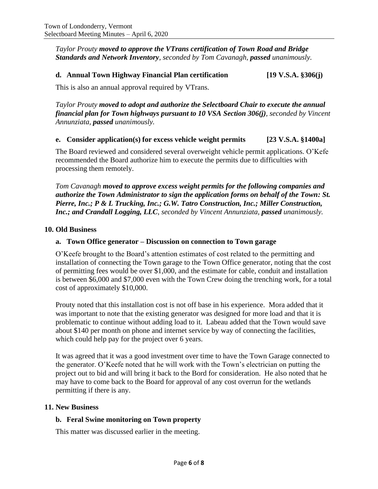*Taylor Prouty moved to approve the VTrans certification of Town Road and Bridge Standards and Network Inventory, seconded by Tom Cavanagh, passed unanimously.*

#### **d. Annual Town Highway Financial Plan certification [19 V.S.A. §306(j)**

This is also an annual approval required by VTrans.

*Taylor Prouty moved to adopt and authorize the Selectboard Chair to execute the annual financial plan for Town highways pursuant to 10 VSA Section 306(j), seconded by Vincent Annunziata, passed unanimously.*

#### **e. Consider application(s) for excess vehicle weight permits [23 V.S.A. §1400a]**

The Board reviewed and considered several overweight vehicle permit applications. O'Kefe recommended the Board authorize him to execute the permits due to difficulties with processing them remotely.

*Tom Cavanagh moved to approve excess weight permits for the following companies and authorize the Town Administrator to sign the application forms on behalf of the Town: St. Pierre, Inc.; P & L Trucking, Inc.; G.W. Tatro Construction, Inc.; Miller Construction, Inc.; and Crandall Logging, LLC*, *seconded by Vincent Annunziata, passed unanimously.*

#### **10. Old Business**

#### **a. Town Office generator – Discussion on connection to Town garage**

O'Keefe brought to the Board's attention estimates of cost related to the permitting and installation of connecting the Town garage to the Town Office generator, noting that the cost of permitting fees would be over \$1,000, and the estimate for cable, conduit and installation is between \$6,000 and \$7,000 even with the Town Crew doing the trenching work, for a total cost of approximately \$10,000.

Prouty noted that this installation cost is not off base in his experience. Mora added that it was important to note that the existing generator was designed for more load and that it is problematic to continue without adding load to it. Labeau added that the Town would save about \$140 per month on phone and internet service by way of connecting the facilities, which could help pay for the project over 6 years.

It was agreed that it was a good investment over time to have the Town Garage connected to the generator. O'Keefe noted that he will work with the Town's electrician on putting the project out to bid and will bring it back to the Bord for consideration. He also noted that he may have to come back to the Board for approval of any cost overrun for the wetlands permitting if there is any.

#### **11. New Business**

#### **b. Feral Swine monitoring on Town property**

This matter was discussed earlier in the meeting.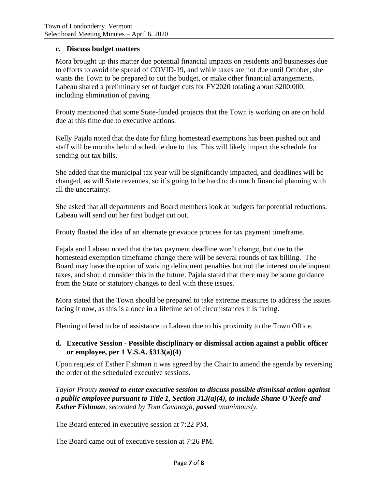#### **c. Discuss budget matters**

Mora brought up this matter due potential financial impacts on residents and businesses due to efforts to avoid the spread of COVID-19, and while taxes are not due until October, she wants the Town to be prepared to cut the budget, or make other financial arrangements. Labeau shared a preliminary set of budget cuts for FY2020 totaling about \$200,000, including elimination of paving.

Prouty mentioned that some State-funded projects that the Town is working on are on hold due at this time due to executive actions.

Kelly Pajala noted that the date for filing homestead exemptions has been pushed out and staff will be months behind schedule due to this. This will likely impact the schedule for sending out tax bills.

She added that the municipal tax year will be significantly impacted, and deadlines will be changed, as will State revenues, so it's going to be hard to do much financial planning with all the uncertainty.

She asked that all departments and Board members look at budgets for potential reductions. Labeau will send out her first budget cut out.

Prouty floated the idea of an alternate grievance process for tax payment timeframe.

Pajala and Labeau noted that the tax payment deadline won't change, but due to the homestead exemption timeframe change there will be several rounds of tax billing. The Board may have the option of waiving delinquent penalties but not the interest on delinquent taxes, and should consider this in the future. Pajala stated that there may be some guidance from the State or statutory changes to deal with these issues.

Mora stated that the Town should be prepared to take extreme measures to address the issues facing it now, as this is a once in a lifetime set of circumstances it is facing.

Fleming offered to be of assistance to Labeau due to his proximity to the Town Office.

#### **d. Executive Session - Possible disciplinary or dismissal action against a public officer or employee, per 1 V.S.A. §313(a)(4)**

Upon request of Esther Fishman it was agreed by the Chair to amend the agenda by reversing the order of the scheduled executive sessions.

*Taylor Prouty moved to enter executive session to discuss possible dismissal action against a public employee pursuant to Title 1, Section 313(a)(4), to include Shane O'Keefe and Esther Fishman, seconded by Tom Cavanagh, passed unanimously.*

The Board entered in executive session at 7:22 PM.

The Board came out of executive session at 7:26 PM.